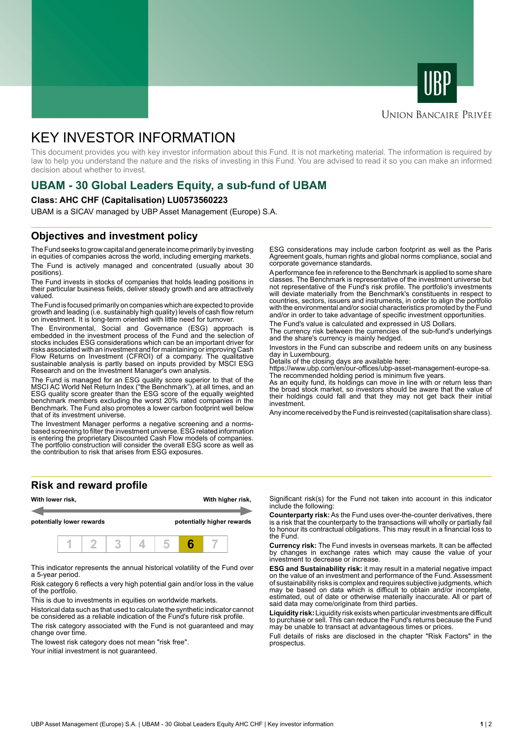



#### **UNION BANCAIRE PRIVÉE**

# KEY INVESTOR INFORMATION

This document provides you with key investor information about this Fund. It is not marketing material. The information is required by law to help you understand the nature and the risks of investing in this Fund. You are advised to read it so you can make an informed decision about whether to invest.

# **UBAM - 30 Global Leaders Equity, a sub-fund of UBAM**

#### **Class: AHC CHF (Capitalisation) LU0573560223**

UBAM is a SICAV managed by UBP Asset Management (Europe) S.A.

#### **Objectives and investment policy**

The Fund seeks to grow capital and generate income primarily by investing in equities of companies across the world, including emerging markets. The Fund is actively managed and concentrated (usually about 30 positions).

The Fund invests in stocks of companies that holds leading positions in their particular business fields, deliver steady growth and are attractively valued.

The Fund is focused primarily on companies which are expected to provide growth and leading (i.e. sustainably high quality) levels of cash flow return on investment. It is long-term oriented with little need for turnover.

The Environmental, Social and Governance (ESG) approach is embedded in the investment process of the Fund and the selection of stocks includes ESG considerations which can be an important driver for risks associated with an investment and for maintaining or improving Cash Flow Returns on Investment (CFROI) of a company. The qualitative sustainable analysis is partly based on inputs provided by MSCI ESG Research and on the Investment Manager's own analysis.

The Fund is managed for an ESG quality score superior to that of the MSCI AC World Net Return Index ("the Benchmark"), at all times, and an ESG quality score greater than the ESG score of the equally weighted benchmark members excluding the worst 20% rated companies in the Benchmark. The Fund also promotes a lower carbon footprint well below that of its investment universe.

The Investment Manager performs a negative screening and a normsbased screening to filter the investment universe. ESG related information is entering the proprietary Discounted Cash Flow models of companies. The portfolio construction will consider the overall ESG score as well as the contribution to risk that arises from ESG exposures.

ESG considerations may include carbon footprint as well as the Paris Agreement goals, human rights and global norms compliance, social and corporate governance standards.

A performance fee in reference to the Benchmark is applied to some share classes. The Benchmark is representative of the investment universe but not representative of the Fund's risk profile. The portfolio's investments will deviate materially from the Benchmark's constituents in respect to countries, sectors, issuers and instruments, in order to align the portfolio with the environmental and/or social characteristics promoted by the Fund and/or in order to take advantage of specific investment opportunities.

The Fund's value is calculated and expressed in US Dollars.

The currency risk between the currencies of the sub-fund's underlyings and the share's currency is mainly hedged.

Investors in the Fund can subscribe and redeem units on any business day in Luxembourg.

Details of the closing days are available here:

https://www.ubp.com/en/our-offices/ubp-asset-management-europe-sa. The recommended holding period is minimum five years.

As an equity fund, its holdings can move in line with or return less than the broad stock market, so investors should be aware that the value of their holdings could fall and that they may not get back their initial investment.

Any income received by the Fund is reinvested (capitalisation share class).

## **Risk and reward profile**



This indicator represents the annual historical volatility of the Fund over a 5-year period.

Risk category 6 reflects a very high potential gain and/or loss in the value of the portfolio.

This is due to investments in equities on worldwide markets.

Historical data such as that used to calculate the synthetic indicator cannot be considered as a reliable indication of the Fund's future risk profile.

The risk category associated with the Fund is not guaranteed and may change over time.

The lowest risk category does not mean "risk free".

Your initial investment is not quaranteed.

Significant risk(s) for the Fund not taken into account in this indicator include the following:

**Counterparty risk:** As the Fund uses over-the-counter derivatives, there is a risk that the counterparty to the transactions will wholly or partially fail to honour its contractual obligations. This may result in a financial loss to the Fund.

**Currency risk:** The Fund invests in overseas markets. It can be affected by changes in exchange rates which may cause the value of your investment to decrease or increase.

**ESG and Sustainability risk:** it may result in a material negative impact on the value of an investment and performance of the Fund. Assessment of sustainability risks is complex and requires subjective judgments, which may be based on data which is difficult to obtain and/or incomplete, estimated, out of date or otherwise materially inaccurate. All or part of said data may come/originate from third parties.

**Liquidity risk:** Liquidity risk exists when particular investments are difficult to purchase or sell. This can reduce the Fund's returns because the Fund may be unable to transact at advantageous times or prices.

Full details of risks are disclosed in the chapter "Risk Factors" in the prospectus.